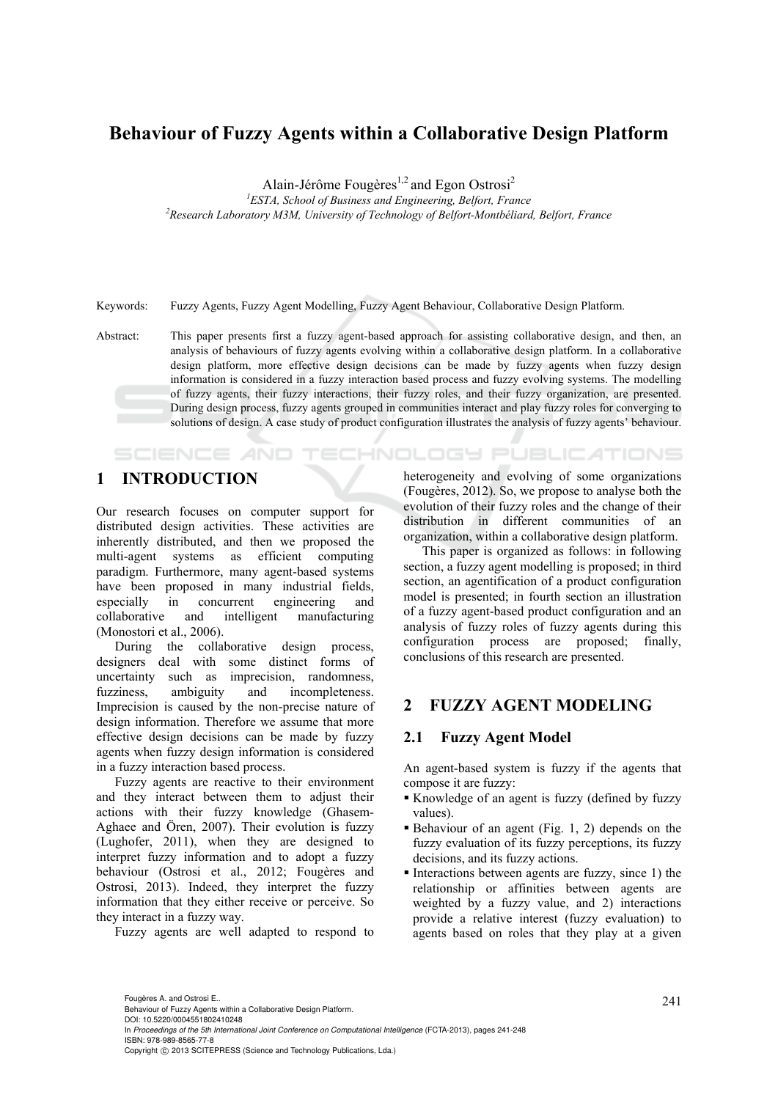# **Behaviour of Fuzzy Agents within a Collaborative Design Platform**

Alain-Jérôme Fougères<sup>1,2</sup> and Egon Ostrosi<sup>2</sup>

<sup>1</sup> *ESTA, School of Business and Engineering, Belfort, France*<br><sup>2</sup> *Bessauch Lehoustery M3M, University of Technology of Belfort Month'illand Research Laboratory M3M, University of Technology of Belfort-Montbéliard, Belfort, France* 

Keywords: Fuzzy Agents, Fuzzy Agent Modelling, Fuzzy Agent Behaviour, Collaborative Design Platform.

Abstract: This paper presents first a fuzzy agent-based approach for assisting collaborative design, and then, an analysis of behaviours of fuzzy agents evolving within a collaborative design platform. In a collaborative design platform, more effective design decisions can be made by fuzzy agents when fuzzy design information is considered in a fuzzy interaction based process and fuzzy evolving systems. The modelling of fuzzy agents, their fuzzy interactions, their fuzzy roles, and their fuzzy organization, are presented. During design process, fuzzy agents grouped in communities interact and play fuzzy roles for converging to solutions of design. A case study of product configuration illustrates the analysis of fuzzy agents' behaviour.

# **1 INTRODUCTION**

**SCIENCE AND** 

Our research focuses on computer support for distributed design activities. These activities are inherently distributed, and then we proposed the multi-agent systems as efficient computing paradigm. Furthermore, many agent-based systems have been proposed in many industrial fields, especially in concurrent engineering and collaborative and intelligent manufacturing (Monostori et al., 2006).

During the collaborative design process, designers deal with some distinct forms of uncertainty such as imprecision, randomness, fuzziness, ambiguity and incompleteness. Imprecision is caused by the non-precise nature of design information. Therefore we assume that more effective design decisions can be made by fuzzy agents when fuzzy design information is considered in a fuzzy interaction based process.

Fuzzy agents are reactive to their environment and they interact between them to adjust their actions with their fuzzy knowledge (Ghasem-Aghaee and Ören, 2007). Their evolution is fuzzy (Lughofer, 2011), when they are designed to interpret fuzzy information and to adopt a fuzzy behaviour (Ostrosi et al., 2012; Fougères and Ostrosi, 2013). Indeed, they interpret the fuzzy information that they either receive or perceive. So they interact in a fuzzy way.

Fuzzy agents are well adapted to respond to

heterogeneity and evolving of some organizations (Fougères, 2012). So, we propose to analyse both the evolution of their fuzzy roles and the change of their distribution in different communities of an organization, within a collaborative design platform.

This paper is organized as follows: in following section, a fuzzy agent modelling is proposed; in third section, an agentification of a product configuration model is presented; in fourth section an illustration of a fuzzy agent-based product configuration and an analysis of fuzzy roles of fuzzy agents during this configuration process are proposed; finally, conclusions of this research are presented.

## **2 FUZZY AGENT MODELING**

### **2.1 Fuzzy Agent Model**

**TECHNOLOGY PUBLICATIONS** 

An agent-based system is fuzzy if the agents that compose it are fuzzy:

- Knowledge of an agent is fuzzy (defined by fuzzy values).
- $\blacksquare$  Behaviour of an agent (Fig. 1, 2) depends on the fuzzy evaluation of its fuzzy perceptions, its fuzzy decisions, and its fuzzy actions.
- $\blacksquare$  Interactions between agents are fuzzy, since 1) the relationship or affinities between agents are weighted by a fuzzy value, and 2) interactions provide a relative interest (fuzzy evaluation) to agents based on roles that they play at a given

In *Proceedings of the 5th International Joint Conference on Computational Intelligence* (FCTA-2013), pages 241-248 ISBN: 978-989-8565-77-8

<sup>241</sup> Fougères A. and Ostrosi E.. Behaviour of Fuzzy Agents within a Collaborative Design Platform. DOI: 10.5220/0004551802410248

Copyright © 2013 SCITEPRESS (Science and Technology Publications, Lda.)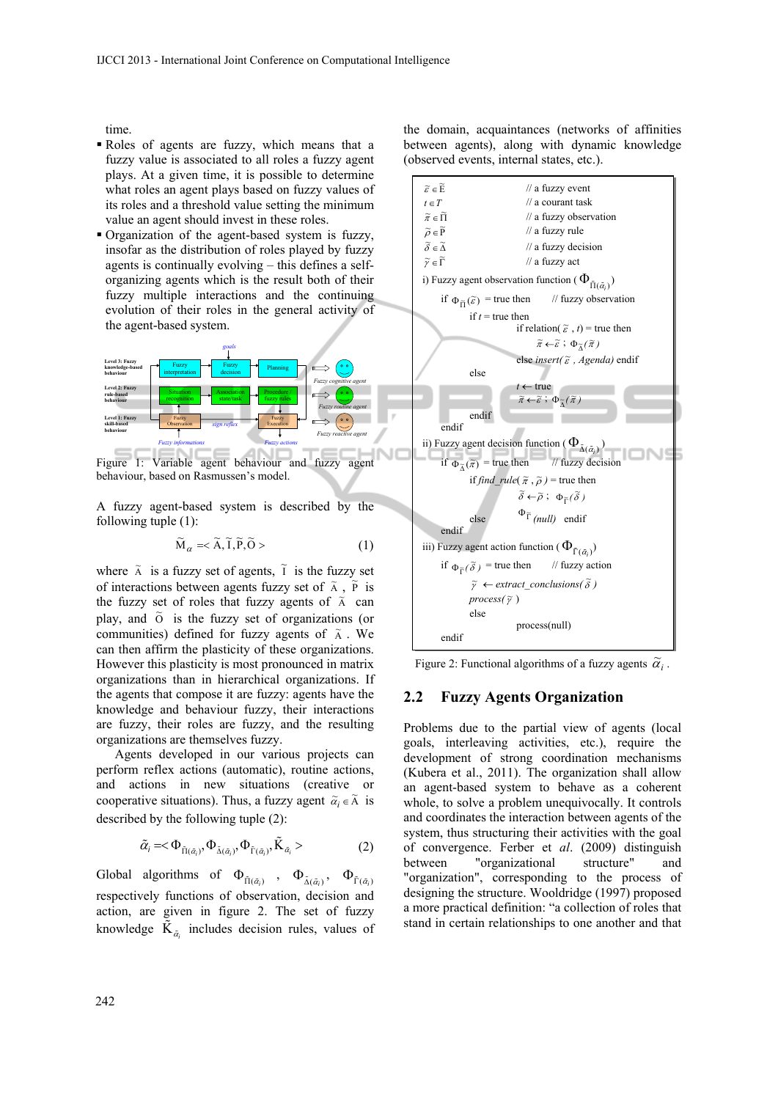time.

- Roles of agents are fuzzy, which means that a fuzzy value is associated to all roles a fuzzy agent plays. At a given time, it is possible to determine what roles an agent plays based on fuzzy values of its roles and a threshold value setting the minimum value an agent should invest in these roles.
- Organization of the agent-based system is fuzzy, insofar as the distribution of roles played by fuzzy agents is continually evolving – this defines a selforganizing agents which is the result both of their fuzzy multiple interactions and the continuing evolution of their roles in the general activity of the agent-based system.



Figure 1: Variable agent behaviour and fuzzy agent behaviour, based on Rasmussen's model.

A fuzzy agent-based system is described by the following tuple (1):

$$
\widetilde{\mathbf{M}}_{\alpha} = <\widetilde{\mathbf{A}}, \widetilde{\mathbf{I}}, \widetilde{\mathbf{P}}, \widetilde{\mathbf{O}}>
$$
\n<sup>(1)</sup>

where  $\tilde{A}$  is a fuzzy set of agents,  $\tilde{I}$  is the fuzzy set of interactions between agents fuzzy set of  $\tilde{A}$ ,  $\tilde{P}$  is the fuzzy set of roles that fuzzy agents of  $\tilde{A}$  can play, and  $\tilde{O}$  is the fuzzy set of organizations (or communities) defined for fuzzy agents of  $\tilde{A}$ . We can then affirm the plasticity of these organizations. However this plasticity is most pronounced in matrix organizations than in hierarchical organizations. If the agents that compose it are fuzzy: agents have the knowledge and behaviour fuzzy, their interactions are fuzzy, their roles are fuzzy, and the resulting organizations are themselves fuzzy.

Agents developed in our various projects can perform reflex actions (automatic), routine actions, and actions in new situations (creative or cooperative situations). Thus, a fuzzy agent  $\tilde{\alpha}_i \in \tilde{A}$  is described by the following tuple (2):

$$
\tilde{\alpha}_i = <\Phi_{\tilde{\Pi}(\tilde{\alpha}_i)}, \Phi_{\tilde{\Lambda}(\tilde{\alpha}_i)}, \Phi_{\tilde{\Gamma}(\tilde{\alpha}_i)}, \tilde{K}_{\tilde{\alpha}_i} > \tag{2}
$$

Global algorithms of  $\Phi_{\tilde{\Pi}(\tilde{\alpha}_i)}$ ,  $\Phi_{\tilde{\Lambda}(\tilde{\alpha}_i)}$ ,  $\Phi_{\tilde{\Gamma}(\tilde{\alpha}_i)}$ respectively functions of observation, decision and action, are given in figure 2. The set of fuzzy knowledge  $\tilde{\mathbf{K}}_{\tilde{\alpha}_i}$  includes decision rules, values of

the domain, acquaintances (networks of affinities between agents), along with dynamic knowledge (observed events, internal states, etc.).



Figure 2: Functional algorithms of a fuzzy agents  $\tilde{\alpha}_i$ .

#### **2.2 Fuzzy Agents Organization**

Problems due to the partial view of agents (local goals, interleaving activities, etc.), require the development of strong coordination mechanisms (Kubera et al., 2011). The organization shall allow an agent-based system to behave as a coherent whole, to solve a problem unequivocally. It controls and coordinates the interaction between agents of the system, thus structuring their activities with the goal of convergence. Ferber et *al*. (2009) distinguish between "organizational structure" and "organization", corresponding to the process of designing the structure. Wooldridge (1997) proposed a more practical definition: "a collection of roles that stand in certain relationships to one another and that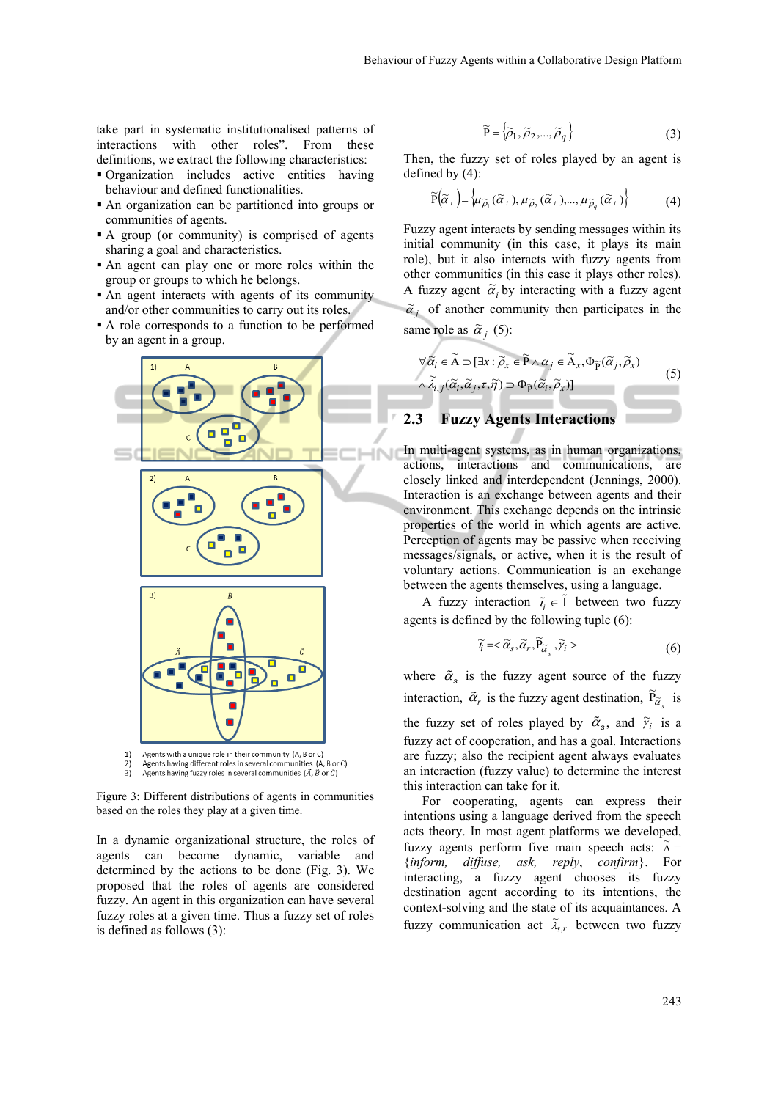take part in systematic institutionalised patterns of interactions with other roles". From these definitions, we extract the following characteristics:

- Organization includes active entities having behaviour and defined functionalities.
- An organization can be partitioned into groups or communities of agents.
- A group (or community) is comprised of agents sharing a goal and characteristics.
- An agent can play one or more roles within the group or groups to which he belongs.
- An agent interacts with agents of its community and/or other communities to carry out its roles.
- A role corresponds to a function to be performed by an agent in a group.



Agents having different roles in several communities (A, B or C)  $2)$ Agents having fuzzy roles in several communities  $(\tilde{A}, \tilde{B}$  or  $\tilde{C}$ )  $3)$ 

Figure 3: Different distributions of agents in communities based on the roles they play at a given time.

In a dynamic organizational structure, the roles of agents can become dynamic, variable and determined by the actions to be done (Fig. 3). We proposed that the roles of agents are considered fuzzy. An agent in this organization can have several fuzzy roles at a given time. Thus a fuzzy set of roles is defined as follows (3):

$$
\widetilde{\mathbf{P}} = \{ \widetilde{\rho}_1, \widetilde{\rho}_2, ..., \widetilde{\rho}_q \}
$$
 (3)

Then, the fuzzy set of roles played by an agent is defined by (4):

$$
\widetilde{P}(\widetilde{\alpha}_{i}) = \left\{ \mu_{\widetilde{\rho}_{1}}(\widetilde{\alpha}_{i}), \mu_{\widetilde{\rho}_{2}}(\widetilde{\alpha}_{i}), ..., \mu_{\widetilde{\rho}_{q}}(\widetilde{\alpha}_{i}) \right\} \tag{4}
$$

Fuzzy agent interacts by sending messages within its initial community (in this case, it plays its main role), but it also interacts with fuzzy agents from other communities (in this case it plays other roles). A fuzzy agent  $\tilde{\alpha}_i$  by interacting with a fuzzy agent  $\tilde{\alpha}$  of another community then participates in the same role as  $\tilde{\alpha}_i$  (5):

$$
\forall \widetilde{\alpha}_i \in \widetilde{A} \supset [\exists x : \widetilde{\rho}_x \in \widetilde{P} \land \alpha_j \in \widetilde{A}_x, \Phi_{\widetilde{P}}(\widetilde{\alpha}_j, \widetilde{\rho}_x)]
$$
\n
$$
\land \widetilde{\lambda}_{i,j}(\widetilde{\alpha}_i, \widetilde{\alpha}_j, \tau, \widetilde{\eta}) \supset \Phi_{\widetilde{P}}(\widetilde{\alpha}_i, \widetilde{\rho}_x)]
$$
\n
$$
\sum_{i} \text{Fuzzy A const. Integrating}
$$
\n(5)

#### **2.3 Fuzzy Agents Interactions**

In multi-agent systems, as in human organizations, actions, interactions and communications, are closely linked and interdependent (Jennings, 2000). Interaction is an exchange between agents and their environment. This exchange depends on the intrinsic properties of the world in which agents are active. Perception of agents may be passive when receiving messages/signals, or active, when it is the result of voluntary actions. Communication is an exchange between the agents themselves, using a language.

A fuzzy interaction  $\tilde{i}_i \in \tilde{I}$  between two fuzzy agents is defined by the following tuple (6):

$$
\widetilde{t}_i = <\widetilde{\alpha}_s, \widetilde{\alpha}_r, \widetilde{P}_{\widetilde{\alpha}_s}, \widetilde{\gamma}_i>
$$
\n(6)

where  $\tilde{\alpha}_s$  is the fuzzy agent source of the fuzzy interaction,  $\tilde{\alpha}_r$  is the fuzzy agent destination,  $\tilde{P}_{\tilde{\alpha}_s}$  is the fuzzy set of roles played by  $\tilde{\alpha}_s$ , and  $\tilde{\gamma}_i$  is a fuzzy act of cooperation, and has a goal. Interactions are fuzzy; also the recipient agent always evaluates an interaction (fuzzy value) to determine the interest this interaction can take for it.

For cooperating, agents can express their intentions using a language derived from the speech acts theory. In most agent platforms we developed, fuzzy agents perform five main speech acts:  $\tilde{\Lambda}$  = {*inform, diffuse, ask, reply*, *confirm*}. For interacting, a fuzzy agent chooses its fuzzy destination agent according to its intentions, the context-solving and the state of its acquaintances. A fuzzy communication act  $\tilde{\lambda}_{s,r}$  between two fuzzy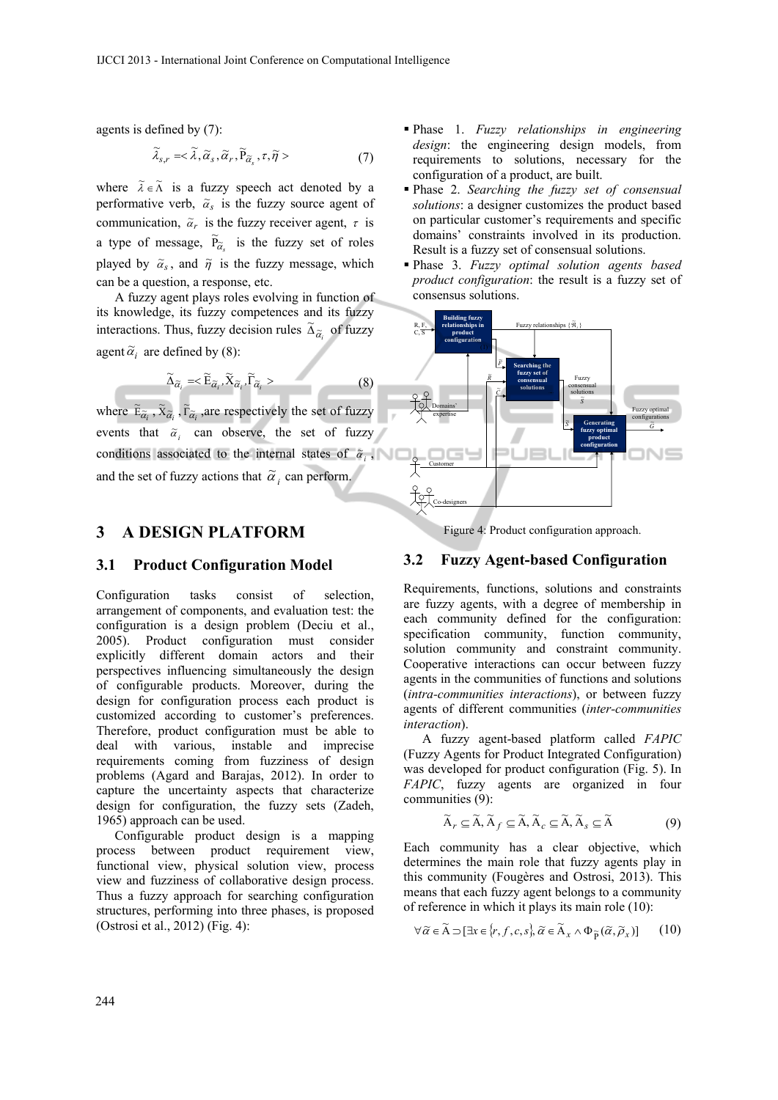agents is defined by (7):

$$
\widetilde{\lambda}_{s,r} = <\widetilde{\lambda}, \widetilde{\alpha}_s, \widetilde{\alpha}_r, \widetilde{P}_{\widetilde{\alpha}_s}, \tau, \widetilde{\eta} > \tag{7}
$$

where  $\tilde{\lambda} \in \tilde{\Lambda}$  is a fuzzy speech act denoted by a performative verb,  $\tilde{\alpha}_s$  is the fuzzy source agent of communication,  $\tilde{\alpha}_r$  is the fuzzy receiver agent,  $\tau$  is a type of message,  $\widetilde{P}_{\widetilde{\alpha}_s}$  is the fuzzy set of roles played by  $\tilde{\alpha}_s$ , and  $\tilde{\eta}$  is the fuzzy message, which can be a question, a response, etc.

A fuzzy agent plays roles evolving in function of its knowledge, its fuzzy competences and its fuzzy interactions. Thus, fuzzy decision rules  $\tilde{\Delta}_{\tilde{\alpha}_i}$  of fuzzy agent  $\tilde{\alpha}_i$  are defined by (8):

$$
\widetilde{\Delta}_{\widetilde{\alpha}_i} = \langle \widetilde{\mathbf{E}}_{\widetilde{\alpha}_i}, \widetilde{\mathbf{X}}_{\widetilde{\alpha}_i}, \widetilde{\Gamma}_{\widetilde{\alpha}_i} \rangle \tag{8}
$$

where  $\tilde{E}_{\tilde{\alpha}_i}$ ,  $\tilde{X}_{\tilde{\alpha}_i}$ ,  $\tilde{r}_{\tilde{\alpha}_i}$ , are respectively the set of fuzzy events that  $\tilde{a}_i$  can observe, the set of fuzzy conditions associated to the internal states of  $\tilde{\alpha}_i$ , and the set of fuzzy actions that  $\tilde{\alpha}_i$  can perform.

#### **3 A DESIGN PLATFORM**

#### **3.1 Product Configuration Model**

Configuration tasks consist of selection, arrangement of components, and evaluation test: the configuration is a design problem (Deciu et al., 2005). Product configuration must consider explicitly different domain actors and their perspectives influencing simultaneously the design of configurable products. Moreover, during the design for configuration process each product is customized according to customer's preferences. Therefore, product configuration must be able to deal with various, instable and imprecise requirements coming from fuzziness of design problems (Agard and Barajas, 2012). In order to capture the uncertainty aspects that characterize design for configuration, the fuzzy sets (Zadeh, 1965) approach can be used.

Configurable product design is a mapping process between product requirement view, functional view, physical solution view, process view and fuzziness of collaborative design process. Thus a fuzzy approach for searching configuration structures, performing into three phases, is proposed (Ostrosi et al., 2012) (Fig. 4):

- Phase 1. *Fuzzy relationships in engineering design*: the engineering design models, from requirements to solutions, necessary for the configuration of a product, are built.
- Phase 2. *Searching the fuzzy set of consensual solutions*: a designer customizes the product based on particular customer's requirements and specific domains' constraints involved in its production. Result is a fuzzy set of consensual solutions.
- Phase 3. *Fuzzy optimal solution agents based product configuration*: the result is a fuzzy set of consensus solutions.



Figure 4: Product configuration approach.

#### **3.2 Fuzzy Agent-based Configuration**

Requirements, functions, solutions and constraints are fuzzy agents, with a degree of membership in each community defined for the configuration: specification community, function community, solution community and constraint community. Cooperative interactions can occur between fuzzy agents in the communities of functions and solutions (*intra-communities interactions*), or between fuzzy agents of different communities (*inter-communities interaction*).

A fuzzy agent-based platform called *FAPIC* (Fuzzy Agents for Product Integrated Configuration) was developed for product configuration (Fig. 5). In *FAPIC*, fuzzy agents are organized in four communities (9):

$$
\widetilde{\mathbf{A}}_r \subseteq \widetilde{\mathbf{A}}, \widetilde{\mathbf{A}}_f \subseteq \widetilde{\mathbf{A}}, \widetilde{\mathbf{A}}_c \subseteq \widetilde{\mathbf{A}}, \widetilde{\mathbf{A}}_s \subseteq \widetilde{\mathbf{A}} \tag{9}
$$

Each community has a clear objective, which determines the main role that fuzzy agents play in this community (Fougères and Ostrosi, 2013). This means that each fuzzy agent belongs to a community of reference in which it plays its main role (10):

$$
\forall \widetilde{\alpha} \in \widetilde{A} \supset [\exists x \in \{r, f, c, s\}, \widetilde{\alpha} \in \widetilde{A}_x \wedge \Phi_{\widetilde{P}}(\widetilde{\alpha}, \widetilde{\rho}_x)] \qquad (10)
$$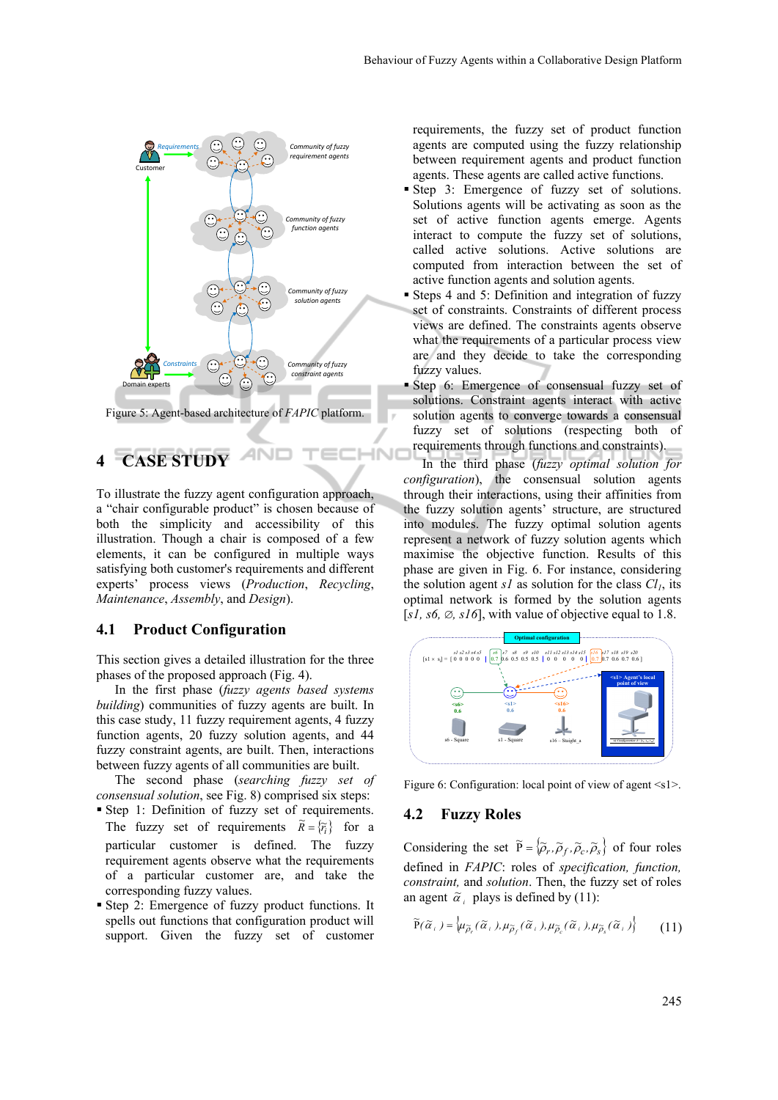

Figure 5: Agent-based architecture of *FAPIC* platform.

## **4 CASE STUDY**

To illustrate the fuzzy agent configuration approach, a "chair configurable product" is chosen because of both the simplicity and accessibility of this illustration. Though a chair is composed of a few elements, it can be configured in multiple ways satisfying both customer's requirements and different experts' process views (*Production*, *Recycling*, *Maintenance*, *Assembly*, and *Design*).

#### **4.1 Product Configuration**

This section gives a detailed illustration for the three phases of the proposed approach (Fig. 4).

In the first phase (*fuzzy agents based systems building*) communities of fuzzy agents are built. In this case study, 11 fuzzy requirement agents, 4 fuzzy function agents, 20 fuzzy solution agents, and 44 fuzzy constraint agents, are built. Then, interactions between fuzzy agents of all communities are built.

The second phase (*searching fuzzy set of consensual solution*, see Fig. 8) comprised six steps:

- Step 1: Definition of fuzzy set of requirements. The fuzzy set of requirements  $\tilde{R} = {\tilde{r}}_i$  for a particular customer is defined. The fuzzy requirement agents observe what the requirements of a particular customer are, and take the corresponding fuzzy values.
- Step 2: Emergence of fuzzy product functions. It spells out functions that configuration product will support. Given the fuzzy set of customer

requirements, the fuzzy set of product function agents are computed using the fuzzy relationship between requirement agents and product function agents. These agents are called active functions.

- Step 3: Emergence of fuzzy set of solutions. Solutions agents will be activating as soon as the set of active function agents emerge. Agents interact to compute the fuzzy set of solutions, called active solutions. Active solutions are computed from interaction between the set of active function agents and solution agents.
- Steps 4 and 5: Definition and integration of fuzzy set of constraints. Constraints of different process views are defined. The constraints agents observe what the requirements of a particular process view are and they decide to take the corresponding fuzzy values.
- Step 6: Emergence of consensual fuzzy set of solutions. Constraint agents interact with active solution agents to converge towards a consensual fuzzy set of solutions (respecting both of requirements through functions and constraints).

In the third phase (*fuzzy optimal solution for configuration*), the consensual solution agents through their interactions, using their affinities from the fuzzy solution agents' structure, are structured into modules. The fuzzy optimal solution agents represent a network of fuzzy solution agents which maximise the objective function. Results of this phase are given in Fig. 6. For instance, considering the solution agent  $sI$  as solution for the class  $Cl<sub>I</sub>$ , its optimal network is formed by the solution agents [ $s1, s6, \emptyset, s16$ ], with value of objective equal to 1.8.



Figure 6: Configuration: local point of view of agent <s1>.

#### **4.2 Fuzzy Roles**

**INI** 

Considering the set  $\tilde{P} = \{ \tilde{\rho}_r, \tilde{\rho}_f, \tilde{\rho}_c, \tilde{\rho}_s \}$  of four roles defined in *FAPIC*: roles of *specification, function, constraint,* and *solution*. Then, the fuzzy set of roles an agent  $\alpha$ <sup>*i*</sup> plays is defined by (11):

$$
\widetilde{P}(\widetilde{\alpha}_{i.}) = \left\{ \mu_{\widetilde{\rho}_{r}}(\widetilde{\alpha}_{i.}), \mu_{\widetilde{\rho}_{f}}(\widetilde{\alpha}_{i.}), \mu_{\widetilde{\rho}_{c}}(\widetilde{\alpha}_{i.}), \mu_{\widetilde{\rho}_{s}}(\widetilde{\alpha}_{i.}) \right\} \tag{11}
$$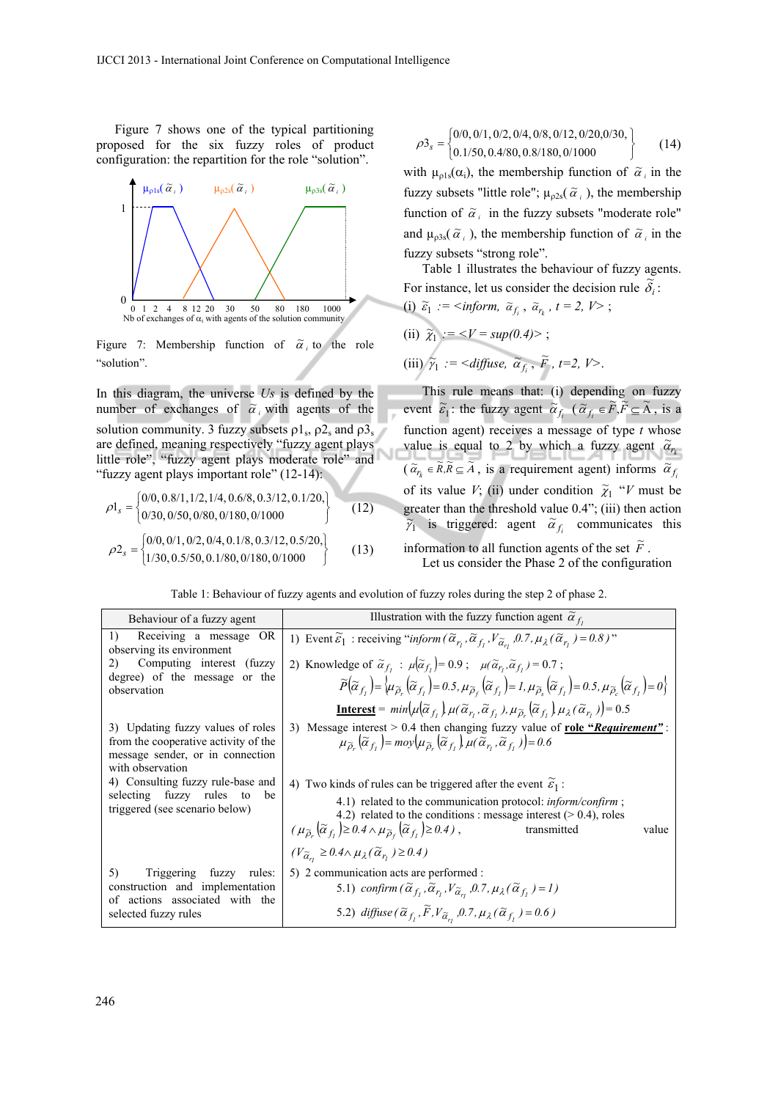Figure 7 shows one of the typical partitioning proposed for the six fuzzy roles of product configuration: the repartition for the role "solution".



Figure 7: Membership function of  $\tilde{\alpha}_i$  to the role "solution".

In this diagram, the universe *Us* is defined by the number of exchanges of  $\tilde{\alpha}$ , with agents of the solution community. 3 fuzzy subsets  $\rho_3$ ,  $\rho_5$  and  $\rho_5$ are defined, meaning respectively "fuzzy agent plays little role", "fuzzy agent plays moderate role" and "fuzzy agent plays important role" (12-14):

$$
\rho1_s = \begin{cases}\n0/0, 0.8/1, 1/2, 1/4, 0.6/8, 0.3/12, 0.1/20, \\
0/30, 0/50, 0/80, 0/180, 0/1000\n\end{cases}
$$
\n(12)  
\n
$$
\rho2_s = \begin{cases}\n0/0, 0/1, 0/2, 0/4, 0.1/8, 0.3/12, 0.5/20, \\
1/30, 0.5/50, 0.1/80, 0/180, 0/1000\n\end{cases}
$$
\n(13)

$$
\rho_3 = \begin{cases} 0/0, 0/1, 0/2, 0/4, 0/8, 0/12, 0/20, 0/30, \\ 0.1/50, 0.4/80, 0.8/180, 0/1000 \end{cases}
$$
(14)

with  $\mu_{p1s}(\alpha_i)$ , the membership function of  $\tilde{\alpha}_i$  in the fuzzy subsets "little role";  $\mu_{p2s}(\tilde{\alpha}_i)$ , the membership function of  $\tilde{\alpha}_i$  in the fuzzy subsets "moderate role" and  $\mu_{\rho 3s}(\tilde{\alpha}_i)$ , the membership function of  $\tilde{\alpha}_i$  in the fuzzy subsets "strong role".

Table 1 illustrates the behaviour of fuzzy agents. For instance, let us consider the decision rule  $\tilde{\delta}_i$ :

\n- (i) 
$$
\tilde{\varepsilon}_1 := \text{imform}, \ \tilde{\alpha}_{f_i}, \ \tilde{\alpha}_{r_k}, \ t = 2, \ V >;
$$
\n- (ii)  $\tilde{\chi}_1 := \langle V = \text{sup}(0.4) \rangle$ ;
\n- (iii)  $\tilde{\gamma}_1 := \langle \text{diffuse}, \ \tilde{\alpha}_{f_i}, \ \tilde{F}, \ t = 2, \ V \rangle$ .
\n

This rule means that: (i) depending on fuzzy event  $\tilde{\epsilon}_1$ : the fuzzy agent  $\tilde{\alpha}_{f_i}$   $(\tilde{\alpha}_{f_i} \in \tilde{F}, \tilde{F} \subseteq \tilde{A})$ , is a function agent) receives a message of type *t* whose value is equal to 2 by which a fuzzy agent  $\tilde{a}_r$  $(\tilde{\alpha}_r \in \tilde{R}, \tilde{R} \subseteq \tilde{A})$ , is a requirement agent) informs  $\tilde{\alpha}_f$ of its value *V*; (ii) under condition  $\tilde{\chi}_1$  "*V* must be greater than the threshold value 0.4"; (iii) then action  $\tilde{\gamma}_1$  is triggered: agent  $\tilde{\alpha}_{f_i}$  communicates this information to all function agents of the set  $\tilde{F}$ .

Let us consider the Phase 2 of the configuration

Table 1: Behaviour of fuzzy agents and evolution of fuzzy roles during the step 2 of phase 2.

| Behaviour of a fuzzy agent                                                                                                        | Illustration with the fuzzy function agent $\tilde{\alpha}_f$ ,                                                                                                                                                                                                                                                                                                                                                                                                                                |
|-----------------------------------------------------------------------------------------------------------------------------------|------------------------------------------------------------------------------------------------------------------------------------------------------------------------------------------------------------------------------------------------------------------------------------------------------------------------------------------------------------------------------------------------------------------------------------------------------------------------------------------------|
| 1)<br>Receiving a message OR<br>observing its environment                                                                         | 1) Event $\widetilde{\varepsilon}_1$ : receiving " <i>inform</i> $(\widetilde{\alpha}_{r_1}, \widetilde{\alpha}_{r_1}, V_{\widetilde{\alpha}_{r_1}}, 0.7, \mu_\lambda(\widetilde{\alpha}_{r_1}) = 0.8)$ "                                                                                                                                                                                                                                                                                      |
| Computing interest (fuzzy<br>2)<br>degree) of the message or the<br>observation                                                   | 2) Knowledge of $\tilde{\alpha}_{f_i}$ : $\mu   \tilde{\alpha}_{f_i}   = 0.9$ ; $\mu (\tilde{\alpha}_{r_i}, \tilde{\alpha}_{f_i}) = 0.7$ ;<br>$\widetilde{P}(\widetilde{\alpha}_{f_i}) = \langle \mu_{\widetilde{\rho}_{i}}(\widetilde{\alpha}_{f_i}) = 0.5, \mu_{\widetilde{\rho}_{i}}(\widetilde{\alpha}_{f_i}) = 1, \mu_{\widetilde{\rho}_{i}}(\widetilde{\alpha}_{f_i}) = 0.5, \mu_{\widetilde{\rho}_{i}}(\widetilde{\alpha}_{f_i}) = 0 \rangle$                                           |
|                                                                                                                                   | <b>Interest</b> = $min(\mu   \tilde{\alpha}_{f_t}) \mu(\tilde{\alpha}_{r_t}, \tilde{\alpha}_{f_t}), \mu_{\tilde{\alpha}} (\tilde{\alpha}_{f_t}) \mu_{\lambda}(\tilde{\alpha}_{r_t}) \big) = 0.5$                                                                                                                                                                                                                                                                                               |
| 3) Updating fuzzy values of roles<br>from the cooperative activity of the<br>message sender, or in connection<br>with observation | 3) Message interest $> 0.4$ then changing fuzzy value of role "Requirement":<br>$\mu_{\widetilde{\Omega}}(\widetilde{\alpha}_{f_i}) = m o y \big( \mu_{\widetilde{\Omega}}(\widetilde{\alpha}_{f_i}) \mu(\widetilde{\alpha}_{r_i}, \widetilde{\alpha}_{f_i}) \big) = 0.6$                                                                                                                                                                                                                      |
| 4) Consulting fuzzy rule-base and<br>selecting fuzzy rules to<br>be<br>triggered (see scenario below)                             | 4) Two kinds of rules can be triggered after the event $\tilde{\epsilon}_1$ :<br>4.1) related to the communication protocol: <i>inform/confirm</i> ;<br>4.2) related to the conditions : message interest $(> 0.4)$ , roles<br>$(\mu_{\widetilde{\rho}_r}(\widetilde{\alpha}_{f_i})\geq 0.4 \wedge \mu_{\widetilde{\rho}_f}(\widetilde{\alpha}_{f_i})\geq 0.4)$ ,<br>transmitted<br>value<br>$(V_{\widetilde{\alpha}_{r_i}} \geq 0.4 \wedge \mu_{\lambda}(\widetilde{\alpha}_{r_i}) \geq 0.4)$ |
| Triggering fuzzy rules:<br>5)<br>construction and implementation<br>actions associated with the<br>of<br>selected fuzzy rules     | 5) 2 communication acts are performed :<br>5.1) confirm $(\widetilde{\alpha}_{f_1}, \widetilde{\alpha}_{r_1}, V_{\widetilde{\alpha}_{r_1}}, 0.7, \mu_{\lambda}(\widetilde{\alpha}_{f_1}) = 1)$<br>5.2) diffuse $(\widetilde{\alpha}_{f_1}, \widetilde{F}, V_{\widetilde{\alpha}_r}, 0.7, \mu_{\lambda}(\widetilde{\alpha}_{f_1}) = 0.6)$                                                                                                                                                       |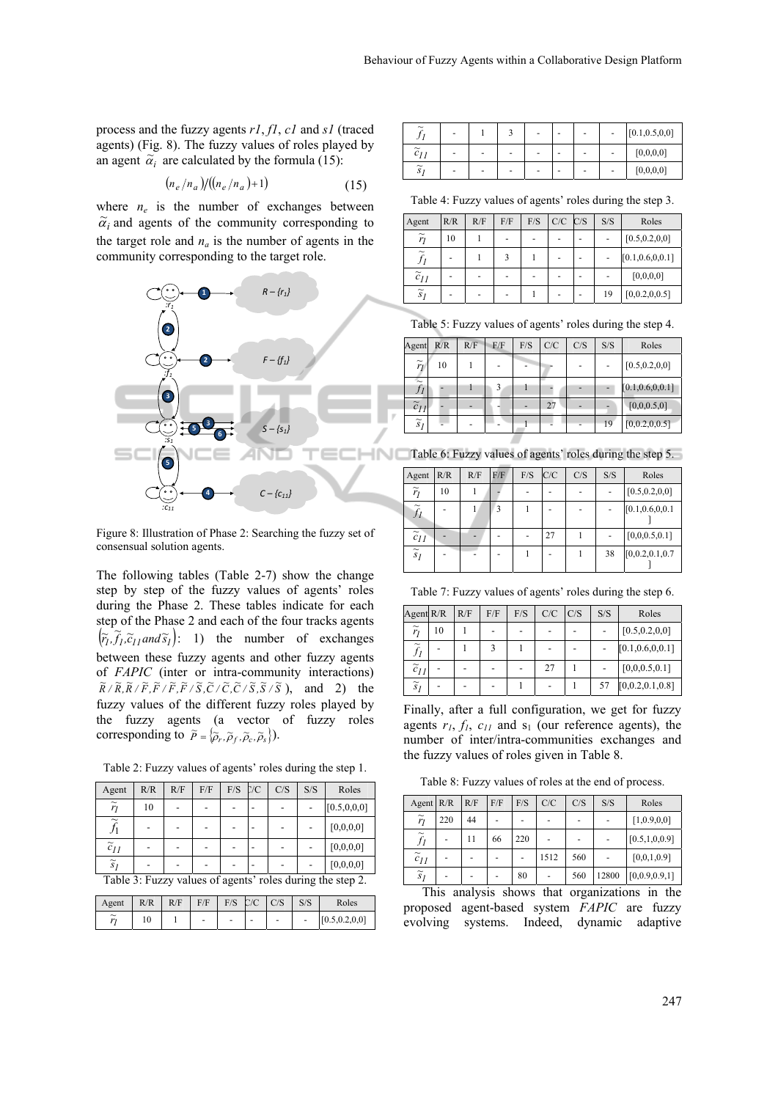process and the fuzzy agents *r1*, *f1*, *c1* and *s1* (traced agents) (Fig. 8). The fuzzy values of roles played by an agent  $\tilde{\alpha}_i$  are calculated by the formula (15):

$$
(n_e/n_a) / ((n_e/n_a) + 1)
$$
 (15)

where  $n_e$  is the number of exchanges between  $\tilde{\alpha}_i$  and agents of the community corresponding to the target role and  $n_a$  is the number of agents in the community corresponding to the target role.



Figure 8: Illustration of Phase 2: Searching the fuzzy set of consensual solution agents.

The following tables (Table 2-7) show the change step by step of the fuzzy values of agents' roles during the Phase 2. These tables indicate for each step of the Phase 2 and each of the four tracks agents  $(\overline{r}_i, \overline{f}_i, \overline{c}_{i1} \text{ and } \overline{s}_i)$ : 1) the number of exchanges between these fuzzy agents and other fuzzy agents of *FAPIC* (inter or intra-community interactions)  $\widetilde{R}/\widetilde{R}, \widetilde{R}/\widetilde{F}, \widetilde{F}/\widetilde{F}, \widetilde{F}/\widetilde{S}, \widetilde{C}/\widetilde{C}, \widetilde{C}/\widetilde{S}, \widetilde{S}/\widetilde{S}$ ), and 2) the fuzzy values of the different fuzzy roles played by the fuzzy agents (a vector of fuzzy roles corresponding to  $\tilde{P} = \{ \tilde{\rho}_r, \tilde{\rho}_f, \tilde{\rho}_c, \tilde{\rho}_s \}.$ 

Table 2: Fuzzy values of agents' roles during the step 1.

| Agent                     | R/R | R/F | F/F | $F/S$ $C/C$ | C/S | S/S | Roles                                                                                                                                                               |
|---------------------------|-----|-----|-----|-------------|-----|-----|---------------------------------------------------------------------------------------------------------------------------------------------------------------------|
| $\widetilde{r}_1$         | 10  |     |     |             |     |     | [0.5, 0.0, 0]                                                                                                                                                       |
| $\widetilde{\phantom{m}}$ |     |     |     |             |     |     | [0,0,0,0]                                                                                                                                                           |
| $\tilde{c}_{II}$          |     |     |     |             |     |     | [0,0,0,0]                                                                                                                                                           |
| $\widetilde{s}_I$         |     |     |     |             |     |     | [0,0,0,0]                                                                                                                                                           |
|                           |     |     |     |             |     |     | $T_{\rm eff}$ , $\alpha$ , $T_{\rm eff}$ , $T_{\rm eff}$ , $T_{\rm eff}$ , $T_{\rm eff}$ , $T_{\rm eff}$ , $T_{\rm eff}$ , $T_{\rm eff}$ , $T_{\rm eff}$ , $\alpha$ |

Table 3: Fuzzy values of agents' roles during the step 2.

| Agent                                           | R/R | R/F | F/F | $F/S$ $C/C$ |   | C/S | S/S                      | Roles           |
|-------------------------------------------------|-----|-----|-----|-------------|---|-----|--------------------------|-----------------|
| $\widetilde{\phantom{m}}$<br>$\boldsymbol{\nu}$ | 10  |     | -   |             | - | -   | $\overline{\phantom{0}}$ | [0.5, 0.2, 0.0] |

| $\widetilde{\phantom{m}}$ | $\overline{\phantom{a}}$ |   | $\overline{\phantom{0}}$ | - | - | $\overline{\phantom{a}}$ | [0.1, 0.5, 0, 0] |
|---------------------------|--------------------------|---|--------------------------|---|---|--------------------------|------------------|
| $\tilde{c}_{11}$          | $\overline{\phantom{0}}$ | - |                          |   | - | ٠                        | [0,0,0,0]        |
| $\widetilde{s}_I$         | $\overline{\phantom{0}}$ | - |                          | - | - | $\overline{\phantom{0}}$ | [0,0,0,0]        |

Table 4: Fuzzy values of agents' roles during the step 3.

| Agent                     | R/R | R/F | F/F | F/S | $C/C$ $C/S$ | S/S | Roles             |
|---------------------------|-----|-----|-----|-----|-------------|-----|-------------------|
| $\widetilde{r}_1$         | 10  |     |     |     |             |     | [0.5, 0.2, 0, 0]  |
| $\widetilde{\phantom{m}}$ | ٠   |     | ٩   |     |             |     | [0.1, 0.6, 0.0.1] |
| $\tilde{c}_{II}$          | ٠   | -   |     |     |             |     | [0,0,0,0]         |
| $\widetilde{s}_I$         |     | -   |     |     |             | 19  | [0,0.2,0,0.5]     |

Table 5: Fuzzy values of agents' roles during the step 4.

| Agent             | R/R | R/F | F/F | F/S | C/C | C/S | S/S | Roles             |
|-------------------|-----|-----|-----|-----|-----|-----|-----|-------------------|
| $\widetilde{r}_I$ | 10  |     |     |     |     |     |     | [0.5, 0.2, 0, 0]  |
| $\sim$<br>$J_I$   |     |     | 3   |     |     |     |     | [0.1, 0.6, 0.0.1] |
| $\tilde{c}_{II}$  |     | -   |     |     | 27  |     |     | [0,0,0.5,0]       |
| $\widetilde{s}_l$ |     |     |     |     |     |     | 19  | [0,0.2,0,0.5]     |

Table 6: Fuzzy values of agents' roles during the step 5.

| Agent             | R/R | R/F | F/F | F/S | C/C | C/S | S/S | Roles             |
|-------------------|-----|-----|-----|-----|-----|-----|-----|-------------------|
| $\widetilde{r}_l$ | 10  |     |     |     |     |     |     | [0.5, 0.2, 0, 0]  |
| JI                |     |     | 3   |     |     |     |     | [0.1, 0.6, 0.0.1] |
| $\tilde{c}_{II}$  |     |     |     |     | 27  |     |     | [0,0,0.5,0.1]     |
| $\widetilde{s}_I$ |     |     |     |     |     |     | 38  | [0,0.2,0.1,0.7]   |

Table 7: Fuzzy values of agents' roles during the step 6.

| Agent R/R                 |    | R/F | F/F | F/S | $C/C$ $ C/S$ | S/S | Roles              |
|---------------------------|----|-----|-----|-----|--------------|-----|--------------------|
| $\widetilde{r}_I$         | 10 |     |     |     |              |     | [0.5, 0.2, 0, 0]   |
| $\widetilde{\phantom{m}}$ |    |     |     |     |              |     | [0.1, 0.6, 0.0.1]  |
| $\tilde{c}_{II}$          |    |     |     |     | 27           |     | [0,0,0.5,0.1]      |
| $\widetilde{s}_I$         |    |     |     |     |              | 57  | [0, 0.2, 0.1, 0.8] |

Finally, after a full configuration, we get for fuzzy agents  $r_1$ ,  $f_1$ ,  $c_{11}$  and  $s_1$  (our reference agents), the number of inter/intra-communities exchanges and the fuzzy values of roles given in Table 8.

Table 8: Fuzzy values of roles at the end of process.

| Agent $R/R$                        |     | R/F    | F/F | F/S | C/C    | C/S | S/S    | Roles            |
|------------------------------------|-----|--------|-----|-----|--------|-----|--------|------------------|
| $\widetilde{r}_I$                  | 220 | 44     |     |     |        |     |        | [1,0.9,0,0]      |
| $\widetilde{\phantom{m}}$<br>$f_I$ |     | 11     | 66  | 220 |        |     |        | [0.5, 1, 0, 0.9] |
| $\tilde{c}_{II}$                   |     |        |     |     | 1512   | 560 |        | [0,0,1,0.9]      |
| $\widetilde{s}_I$                  |     |        |     | 80  |        | 560 | 12800  | [0,0.9,0.9,1]    |
|                                    |     | $\sim$ |     |     | $\sim$ |     | $\sim$ |                  |

This analysis shows that organizations in the proposed agent-based system *FAPIC* are fuzzy evolving systems. Indeed, dynamic adaptive